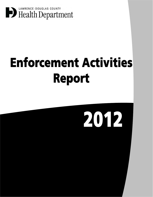

## **Enforcement Activities** Report

# 2012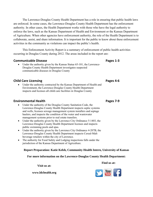The Lawrence-Douglas County Health Department has a role in ensuring that public health laws are enforced. In some cases, the Lawrence-Douglas County Health Department has the enforcement authority. In other cases, the Health Department works with those who have the legal authority to enforce the laws, such as the Kansas Department of Health and Environment or the Kansas Department of Agriculture. When other agencies have enforcement authority, the role of the Health Department is to collaborate, assist, and share information. It is important for the public to know about these enforcement activities in the community as violations can impact the public's health.

 This Enforcement Activity Report is a summary of enforcement of public health activities occurring in Douglas County during 2012. The areas included in the report are:

### **Communicable Disease**

• Under the authority given by the Kansas Statue 65-101, the Lawrence-Douglas County Health Department investigates suspected communicable diseases in Douglas County

### **Child Care Licensing**

 Under the authority contracted by the Kansas Department of Health and Environment, the Lawrence-Douglas County Health Department inspects and licenses all child care facilities in Douglas County

### **Environmental Health**

- Under the authority of the Douglas County Sanitation Code, the Lawrence-Douglas County Health Department inspects septic systems and wells, licenses sewage management system installers and septage haulers, and inspects the condition of the water and wastewater management systems prior to real estate transfers.
- Under the authority given by the Lawrence City Ordinance 5-1403, the Lawrence-Douglas County Health Department licenses and inspects public swimming pools and spas.
- Under the authority given by the Lawrence City Ordinance 4-207B, the Lawrence-Douglas County Health Department inspects Cereal-Malt beverage retailers within the city of Lawrence.
- The authority for Food Safety and Lodging inspections falls under the jurisdiction of the Kansas Department of Agriculture.

### **Report Preparation: Katie Kelsh, Community Health Intern, University of Kansas**

### **For more information on the Lawrence-Douglas County Health Department:**

**Visit us at:**

**www.ldchealth.org**



**Find us at:**

**Pages 7-9**

**Pages 4-6**

**Pages 1-3**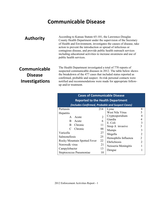### **Communicable Disease**

**Authority** According to Kansas Statute 65-101, the Lawrence-Douglas<br>County Hoalth Department under the supervision of the Secret County Health Department under the supervision of the Secretary of Health and Environment, investigates the causes of disease, take action to prevent the introduction or spread of infectious or contagious disease, and provide public health outreach services including educational activities to increase awareness and use of public health services.

### **Communicable Disease Investigations**

The Health Department investigated a total of 770 reports of suspected communicable diseases in 2012. The table below shows the breakdown of the 477 cases that included status reported as confirmed, probable and suspect. At-risk personal contacts were notified and recommendations were made for appropriate followup and/or treatment.

| <b>Cases of Communicable Disease</b><br><b>Reported to the Health Department</b> |     |                        |                             |  |
|----------------------------------------------------------------------------------|-----|------------------------|-----------------------------|--|
| (includes Confirmed, Probable and Suspect Cases)                                 |     |                        |                             |  |
| Pertussis                                                                        | 214 | Lyme                   | 8                           |  |
| Hepatitis                                                                        |     | <b>West Nile Virus</b> | 5                           |  |
| Acute<br>$\mathsf{A}$                                                            | 2   | Cryptosporidium        |                             |  |
| B<br>Acute                                                                       | 6   | Giardia                | 4                           |  |
| B<br>Chronic                                                                     | 11  | E. Coli                | 3                           |  |
| Chronic                                                                          | 88  | Strep A invasive       | 3                           |  |
|                                                                                  |     | <b>Mumps</b>           | 3                           |  |
| Varicella                                                                        | 27  | Shigella               | 2                           |  |
| Salmonellosis                                                                    | 25  | Hemophilis Influenza   | $\mathcal{D}_{\mathcal{L}}$ |  |
| <b>Rocky Mountain Spotted Fever</b>                                              | 22  | Ehrlichiosis           | $\overline{2}$              |  |
| Norowalk virus                                                                   | 21  | Neisseria Meningitis   |                             |  |
| Campylobacter                                                                    | 13  | Dengue                 |                             |  |
| Steptococcus Pneumoniae                                                          | 10  |                        |                             |  |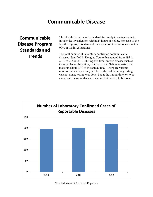### **Communicable Disease**

**Communicable Disease Program Standards and Trends**

The Health Department's standard for timely investigation is to initiate the investigation within 24 hours of notice. For each of the last three years, this standard for inspection timeliness was met in 99% of the investigations.

The total number of laboratory confirmed communicable diseases identified in Douglas County has ranged from 195 in 2010 to 218 in 2012. During this time, enteric disease such as Campylobacter Infection, Giardiasis, and Salmonellosis have made up about 19% of the annual total. There are various reasons that a disease may not be confirmed including testing was not done; testing was done, but at the wrong time; or to be a confirmed case of disease a second test needed to be done.

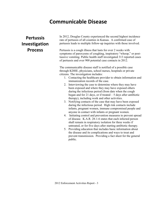### **Communicable Disease**

### **Pertussis Investigation Process**

In 2012, Douglas County experienced the second highest incidence rate of pertussis of all counties in Kansas. A confirmed case of pertussis leads to multiple follow-up inquiries with those involved.

Pertussis is a cough illness that lasts for over 2 weeks with symptoms of paroxysms of coughing, inspiratory "whoop," or posttussive vomiting. Public health staff investigated 313 reported cases of pertussis and over 900 potential case contacts in 2012.

The communicable disease staff is notified of a possible case through KDHE, physicians, school nurses, hospitals or private citizens. The investigation includes:

- 1. Contacting the healthcare provider to obtain information and immunization records of the case.
- 2. Interviewing the case to determine where they may have been exposed and where they may have exposed others during the infectious period (from date when the cough began and for 21 days, or if treated  $-5$  days after antibiotic therapy), including work and other activities.
- 3. Notifying contacts of the case that may have been exposed during the infectious period. High risk contacts include infants, pregnant women, immune compromised people and anyone in contact with infants or pregnant women.
- 4. Initiating control and prevention measures to prevent spread of disease. K.A.R. 28-1-6 states that each infected person shall remain in respiratory isolation for three weeks if untreated, or for five days after starting antibiotic therapy.
- 5. Providing education that includes basic information about the disease and its complications and ways to treat and prevent transmission. Providing a fact sheet for the general public.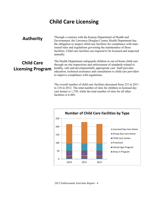### **Child Care Licensing**

**Authority** Through a contract with the Kansas Department of Health and Environment the Lawrence Development Health Department Environment, the Lawrence-Douglas County Health Department has the obligation to inspect child care facilities for compliance with stateissued rules and regulations governing the maintenance of those facilities. Child care facilities are required to be licensed and inspected annually.

### **Child Care Licensing Program**

The Health Department safeguards children in out-of-home child care through on-site inspections and enforcement of standards related to healthy, safe and developmentally appropriate care. Staff provides education, technical assistance and consultation to child care providers to improve compliance with regulations.

The overall number of child care facilities decreased from 232 in 2011 to 218 in 2012. The total number of slots for children in licensed day care homes is 1,730, while the total number of slots for all other facilities is 6,484.

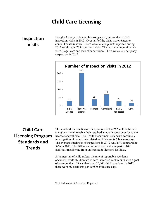### **Child Care Licensing**

**Inspection Visits**

Douglas County child care licensing surveyors conducted 382 inspection visits in 2012. Over half of the visits were related to annual license renewal. There were 52 complaints reported during 2012 resulting in 70 inspections visits. The most common of which were illegal care and lack of supervision. There was one emergency suspension in 2012.



### **Child Care Licensing Program Standards and Trends**

The standard for timeliness of inspections is that 90% of facilities in any given month receive their required annual inspection prior to the license renewal date. The Health Department's standard for timely investigation of complaints related to child care is 5 business days. The average timeliness of inspections in 2012 was 23% compared to 59% in 2011. The difference in timeliness is due in part to 108 facilities transferring from unlicensed to licensed facilities.

As a measure of child safety, the rate of reportable accidents occurring while children are in care is tracked each month with a goal of no more than .03 accidents per 10,000 child care days. In 2012, there were .02 accidents per 10,000 child care days.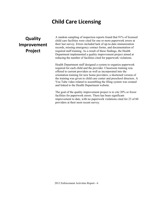### **Child Care Licensing**

### **Quality Improvement Project**

A random sampling of inspection reports found that 91% of licensed child care facilities were cited for one or more paperwork errors at their last survey. Errors included lack of up-to-date immunization records, missing emergency contact forms, and documentation of required staff training. As a result of these findings, the Health Department implemented a quality improvement project aimed at reducing the number of facilities cited for paperwork violations.

Health Department staff designed a system to organize paperwork required for each child and the provider. Classroom training was offered to current providers as well as incorporated into the orientation training for new home providers; a shortened version of the training was given to child care center and preschool directors. A You Tube video related to assembling the filing system was created and linked to the Health Department website.

The goal of the quality improvement project is to cite 20% or fewer facilities for paperwork errors. There has been significant improvement to date, with no paperwork violations cited for 23 of 60 providers at their most recent survey.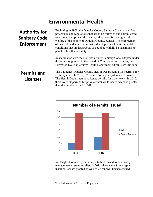### **Environmental Health**

### **Authority for Sanitary Code Enforcement**

Beginning in 1968, the Douglas County Sanitary Code has set forth procedures and regulations that are to be followed and administered to promote and protect the health, safety, comfort, and general welfare of the people of Douglas County, Kansas. The enforcement of this code reduces or eliminates development of environmental conditions that are hazardous, or could potentially be hazardous, to people's health and safety.

In accordance with the Douglas County Sanitary Code, adopted under the authority granted to the Board of County Commissioners, the Lawrence-Douglas County Health Department administers this code.

### **Permits and Licenses**

The Lawrence-Douglas County Health Department issues permits for septic systems. In 2012, 57 permits for septic systems were issued. The Health Department also issues permits for water wells. In 2012, there were 20 permits for private water wells issued which is greater than the number issued in 2011.



In Douglas County a person needs to be licensed to be a sewage management system installer. In 2012, there were 8 new septic installer licenses granted as well as 22 renewal licenses issued.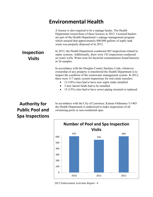### **Environmental Health**

A license is also required to be a septage hauler. The Health Department issued three of these licenses in 2012. Licensed haulers are part of the Health Department's septage management program which assured that approximately 800,000 gallons of septic tank waste was properly disposed of in 2012.

In 2012, the Health Department conducted 403 inspections related to septic systems. Additionally, there were 142 inspections conducted on water wells. Water tests for bacterial contamination found bacteria in 26 samples.

In accordance with the Douglas County Sanitary Code, whenever ownership of any property is transferred the Health Department is to inspect the condition of the wastewater management system. In 2012, there were 117 septic system inspections for real estate transfers.

- $\bullet$  12 (10%) sites had to have new septic tanks installed
- 3 new lateral fields had to be installed
- 15 (13%) sites had to have sewer piping rerouted or replaced

### **Authority for Public Pool and Spa Inspections**

In accordance with the City of Lawrence, Kansas Ordinance 5-1403 the Health Department is authorized to make inspections of all swimming pools or non-residential spas.



2012 Enforcement Activities Report - 8

### **Inspection Visits**